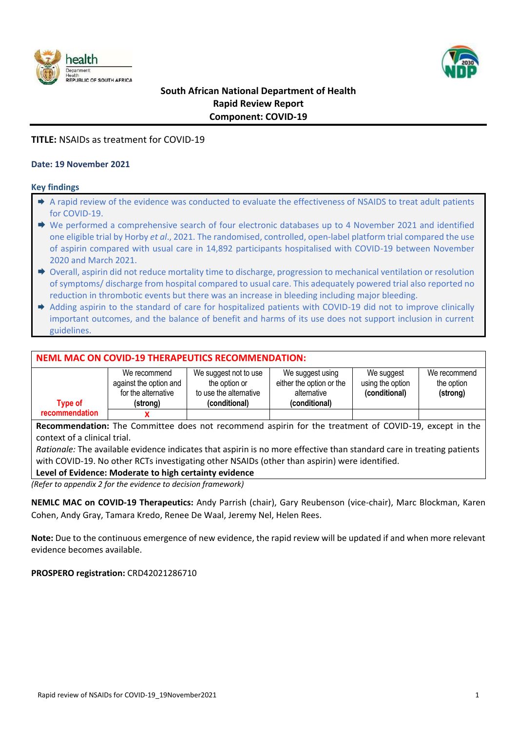



## **South African National Department of Health Rapid Review Report Component: COVID-19**

## **TITLE:** NSAIDs as treatment for COVID-19

## **Date: 19 November 2021**

## **Key findings**

- $\rightarrow$  A rapid review of the evidence was conducted to evaluate the effectiveness of NSAIDS to treat adult patients for COVID-19.
- ◆ We performed a comprehensive search of four electronic databases up to 4 November 2021 and identified one eligible trial by Horby *et al*., 2021. The randomised, controlled, open-label platform trial compared the use of aspirin compared with usual care in 14,892 participants hospitalised with COVID-19 between November 2020 and March 2021.
- $\rightarrow$  Overall, aspirin did not reduce mortality time to discharge, progression to mechanical ventilation or resolution of symptoms/ discharge from hospital compared to usual care. This adequately powered trial also reported no reduction in thrombotic events but there was an increase in bleeding including major bleeding.
- Adding aspirin to the standard of care for hospitalized patients with COVID-19 did not to improve clinically important outcomes, and the balance of benefit and harms of its use does not support inclusion in current guidelines.

## **NEML MAC ON COVID-19 THERAPEUTICS RECOMMENDATION:**

| <b>Type of</b> | We recommend<br>against the option and<br>for the alternative<br>(strona) | We suggest not to use<br>the option or<br>to use the alternative<br>(conditional) | We suggest using<br>either the option or the<br>alternative<br>(conditional) | We suggest<br>using the option<br>(conditional) | We recommend<br>the option<br>(strong) |
|----------------|---------------------------------------------------------------------------|-----------------------------------------------------------------------------------|------------------------------------------------------------------------------|-------------------------------------------------|----------------------------------------|
| recommendation |                                                                           |                                                                                   |                                                                              |                                                 |                                        |

**Recommendation:** The Committee does not recommend aspirin for the treatment of COVID-19, except in the context of a clinical trial.

*Rationale:* The available evidence indicates that aspirin is no more effective than standard care in treating patients with COVID-19. No other RCTs investigating other NSAIDs (other than aspirin) were identified.

## **Level of Evidence: Moderate to high certainty evidence**

*(Refer to appendix 2 for the evidence to decision framework)*

**NEMLC MAC on COVID-19 Therapeutics:** Andy Parrish (chair), Gary Reubenson (vice-chair), Marc Blockman, Karen Cohen, Andy Gray, Tamara Kredo, Renee De Waal, Jeremy Nel, Helen Rees.

**Note:** Due to the continuous emergence of new evidence, the rapid review will be updated if and when more relevant evidence becomes available.

## **PROSPERO registration:** CRD42021286710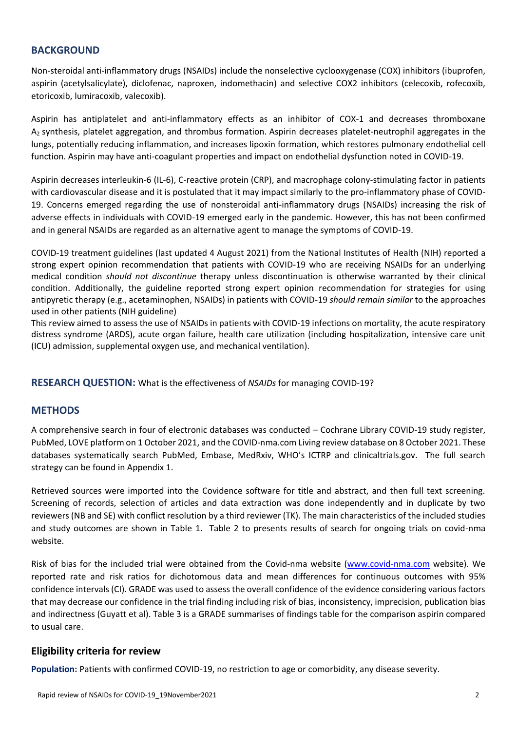## **BACKGROUND**

Non-steroidal anti-inflammatory drugs (NSAIDs) include the nonselective cyclooxygenase (COX) inhibitors (ibuprofen, aspirin (acetylsalicylate), diclofenac, naproxen, indomethacin) and selective COX2 inhibitors (celecoxib, rofecoxib, etoricoxib, lumiracoxib, valecoxib).

Aspirin has antiplatelet and anti-inflammatory effects as an inhibitor of COX-1 and decreases thromboxane A<sup>2</sup> synthesis, platelet aggregation, and thrombus formation. Aspirin decreases platelet-neutrophil aggregates in the lungs, potentially reducing inflammation, and increases lipoxin formation, which restores pulmonary endothelial cell function. Aspirin may have anti-coagulant properties and impact on endothelial dysfunction noted in COVID-19.

Aspirin decreases interleukin-6 (IL-6), C-reactive protein (CRP), and macrophage colony-stimulating factor in patients with cardiovascular disease and it is postulated that it may impact similarly to the pro-inflammatory phase of COVID-19. Concerns emerged regarding the use of nonsteroidal anti-inflammatory drugs (NSAIDs) increasing the risk of adverse effects in individuals with COVID-19 emerged early in the pandemic. However, this has not been confirmed and in general NSAIDs are regarded as an alternative agent to manage the symptoms of COVID-19.

COVID-19 treatment guidelines (last updated 4 August 2021) from the National Institutes of Health (NIH) reported a strong expert opinion recommendation that patients with COVID-19 who are receiving NSAIDs for an underlying medical condition *should not discontinue* therapy unless discontinuation is otherwise warranted by their clinical condition. Additionally, the guideline reported strong expert opinion recommendation for strategies for using antipyretic therapy (e.g., acetaminophen, NSAIDs) in patients with COVID-19 *should remain similar* to the approaches used in other patients (NIH guideline)

This review aimed to assess the use of NSAIDs in patients with COVID-19 infections on mortality, the acute respiratory distress syndrome (ARDS), acute organ failure, health care utilization (including hospitalization, intensive care unit (ICU) admission, supplemental oxygen use, and mechanical ventilation).

**RESEARCH QUESTION:** What is the effectiveness of *NSAIDs* for managing COVID-19?

## **METHODS**

A comprehensive search in four of electronic databases was conducted – Cochrane Library COVID-19 study register, PubMed, LOVE platform on 1 October 2021, and the COVID-nma.com Living review database on 8 October 2021. These databases systematically search PubMed, Embase, MedRxiv, WHO's ICTRP and clinicaltrials.gov. The full search strategy can be found in Appendix 1.

Retrieved sources were imported into the Covidence software for title and abstract, and then full text screening. Screening of records, selection of articles and data extraction was done independently and in duplicate by two reviewers (NB and SE) with conflict resolution by a third reviewer (TK). The main characteristics of the included studies and study outcomes are shown in Table 1. Table 2 to presents results of search for ongoing trials on covid-nma website.

Risk of bias for the included trial were obtained from the Covid-nma website [\(www.covid-nma.com](http://www.covid-nma.com/) website). We reported rate and risk ratios for dichotomous data and mean differences for continuous outcomes with 95% confidence intervals (CI). GRADE was used to assess the overall confidence of the evidence considering various factors that may decrease our confidence in the trial finding including risk of bias, inconsistency, imprecision, publication bias and indirectness (Guyatt et al). Table 3 is a GRADE summarises of findings table for the comparison aspirin compared to usual care.

## **Eligibility criteria for review**

**Population:** Patients with confirmed COVID-19, no restriction to age or comorbidity, any disease severity.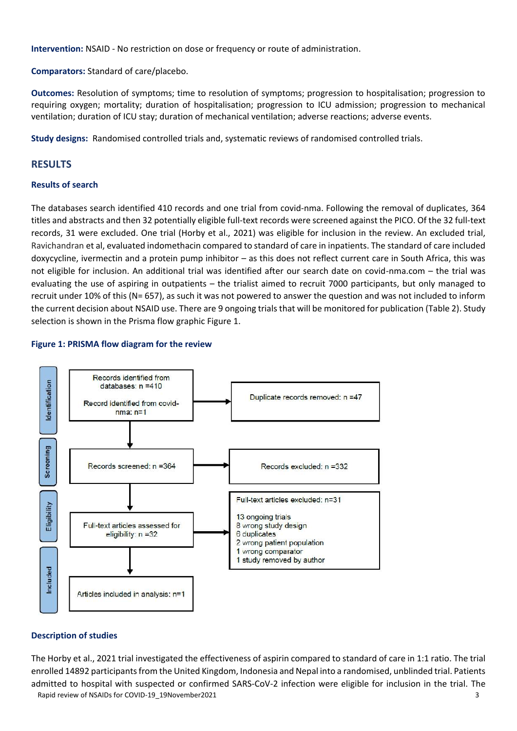**Intervention:** NSAID - No restriction on dose or frequency or route of administration.

**Comparators:** Standard of care/placebo.

**Outcomes:** Resolution of symptoms; time to resolution of symptoms; progression to hospitalisation; progression to requiring oxygen; mortality; duration of hospitalisation; progression to ICU admission; progression to mechanical ventilation; duration of ICU stay; duration of mechanical ventilation; adverse reactions; adverse events.

**Study designs:** Randomised controlled trials and, systematic reviews of randomised controlled trials.

## **RESULTS**

## **Results of search**

The databases search identified 410 records and one trial from covid-nma. Following the removal of duplicates, 364 titles and abstracts and then 32 potentially eligible full-text records were screened against the PICO. Of the 32 full-text records, 31 were excluded. One trial (Horby et al., 2021) was eligible for inclusion in the review. An excluded trial, Ravichandran et al, evaluated indomethacin compared to standard of care in inpatients. The standard of care included doxycycline, ivermectin and a protein pump inhibitor – as this does not reflect current care in South Africa, this was not eligible for inclusion. An additional trial was identified after our search date on covid-nma.com – the trial was evaluating the use of aspiring in outpatients – the trialist aimed to recruit 7000 participants, but only managed to recruit under 10% of this (N= 657), as such it was not powered to answer the question and was not included to inform the current decision about NSAID use. There are 9 ongoing trials that will be monitored for publication (Table 2). Study selection is shown in the Prisma flow graphic Figure 1.

## **Figure 1: PRISMA flow diagram for the review**



## **Description of studies**

Rapid review of NSAIDs for COVID-19\_19November2021 3 3 The Horby et al., 2021 trial investigated the effectiveness of aspirin compared to standard of care in 1:1 ratio. The trial enrolled 14892 participants from the United Kingdom, Indonesia and Nepal into a randomised, unblinded trial. Patients admitted to hospital with suspected or confirmed SARS-CoV-2 infection were eligible for inclusion in the trial. The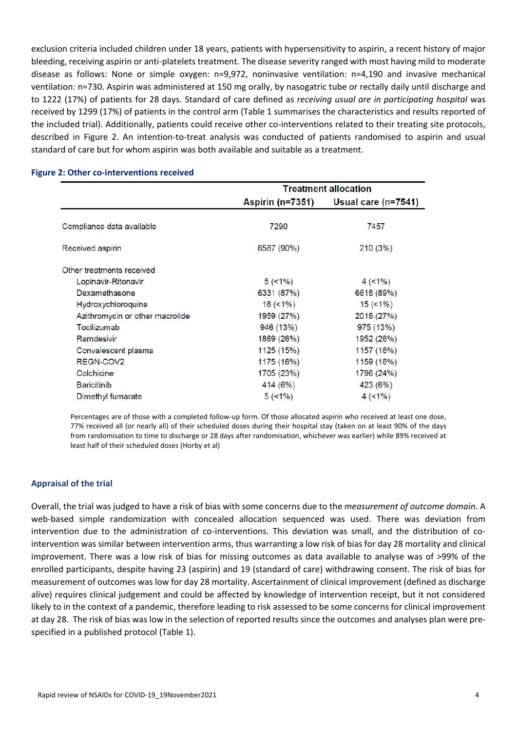exclusion criteria included children under 18 years, patients with hypersensitivity to aspirin, a recent history of major bleeding, receiving aspirin or anti-platelets treatment. The disease severity ranged with most having mild to moderate disease as follows: None or simple oxygen: n=9,972, noninvasive ventilation: n=4,190 and invasive mechanical ventilation: n=730. Aspirin was administered at 150 mg orally, by nasogatric tube or rectally daily until discharge and to 1222 (17%) of patients for 28 days. Standard of care defined as *receiving usual are in participating hospital* was received by 1299 (17%) of patients in the control arm (Table 1 summarises the characteristics and results reported of the included trial). Additionally, patients could receive other co-interventions related to their treating site protocols, described in Figure 2. An intention-to-treat analysis was conducted of patients randomised to aspirin and usual standard of care but for whom aspirin was both available and suitable as a treatment.

|                                 | <b>Treatment allocation</b> |                     |  |
|---------------------------------|-----------------------------|---------------------|--|
|                                 | <b>Aspirin (n=7351)</b>     | Usual care (n=7541) |  |
| Compliance data available       | 7290                        | 7457                |  |
|                                 |                             |                     |  |
| Received aspirin                | 6587 (90%)                  | 210(3%)             |  |
| Other treatments received       |                             |                     |  |
| Lopinavir-Ritonavir             | 5(1%)                       | $4(1\%)$            |  |
| Dexamethasone                   | 6331 (87%)                  | 6618 (89%)          |  |
| Hydroxychloroquine              | $16 \left( < 1\% \right)$   | 15(1%)              |  |
| Azithromycin or other macrolide | 1959 (27%)                  | 2016 (27%)          |  |
| Tocilizumab                     | 946 (13%)                   | 975 (13%)           |  |
| Remdesivir                      | 1869 (26%)                  | 1952 (26%)          |  |
| Convalescent plasma             | 1125 (15%)                  | 1157 (16%)          |  |
| REGN-COV2                       | 1175 (16%)                  | 1159 (16%)          |  |
| Colchicine                      | 1705 (23%)                  | 1796 (24%)          |  |
| <b>Baricitinib</b>              | 414 (6%)                    | 423 (6%)            |  |
| Dimethyl fumarate               | 5(1%)                       | 4(1%)               |  |

#### **Figure 2: Other co-interventions received**

Percentages are of those with a completed follow-up form. Of those allocated aspirin who received at least one dose, 77% received all (or nearly all) of their scheduled doses during their hospital stay (taken on at least 90% of the days from randomisation to time to discharge or 28 days after randomisation, whichever was earlier) while 89% received at least half of their scheduled doses (Horby et al)

#### **Appraisal of the trial**

Overall, the trial was judged to have a risk of bias with some concerns due to the *measurement of outcome domain*. A web-based simple randomization with concealed allocation sequenced was used. There was deviation from intervention due to the administration of co-interventions. This deviation was small, and the distribution of cointervention was similar between intervention arms, thus warranting a low risk of bias for day 28 mortality and clinical improvement. There was a low risk of bias for missing outcomes as data available to analyse was of >99% of the enrolled participants, despite having 23 (aspirin) and 19 (standard of care) withdrawing consent. The risk of bias for measurement of outcomes was low for day 28 mortality. Ascertainment of clinical improvement (defined as discharge alive) requires clinical judgement and could be affected by knowledge of intervention receipt, but it not considered likely to in the context of a pandemic, therefore leading to risk assessed to be some concerns for clinical improvement at day 28. The risk of bias was low in the selection of reported results since the outcomes and analyses plan were prespecified in a published protocol (Table 1).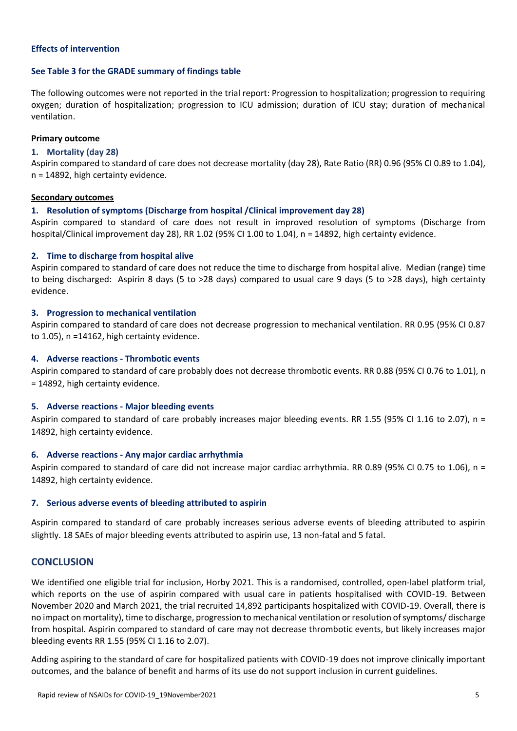### **Effects of intervention**

#### **See Table 3 for the GRADE summary of findings table**

The following outcomes were not reported in the trial report: Progression to hospitalization; progression to requiring oxygen; duration of hospitalization; progression to ICU admission; duration of ICU stay; duration of mechanical ventilation.

#### **Primary outcome**

### **1. Mortality (day 28)**

Aspirin compared to standard of care does not decrease mortality (day 28), Rate Ratio (RR) 0.96 (95% CI 0.89 to 1.04), n = 14892, high certainty evidence.

#### **Secondary outcomes**

### **1. Resolution of symptoms (Discharge from hospital /Clinical improvement day 28)**

Aspirin compared to standard of care does not result in improved resolution of symptoms (Discharge from hospital/Clinical improvement day 28), RR 1.02 (95% CI 1.00 to 1.04), n = 14892, high certainty evidence.

### **2. Time to discharge from hospital alive**

Aspirin compared to standard of care does not reduce the time to discharge from hospital alive. Median (range) time to being discharged: Aspirin 8 days (5 to >28 days) compared to usual care 9 days (5 to >28 days), high certainty evidence.

### **3. Progression to mechanical ventilation**

Aspirin compared to standard of care does not decrease progression to mechanical ventilation. RR 0.95 (95% CI 0.87 to 1.05), n =14162, high certainty evidence.

### **4. Adverse reactions - Thrombotic events**

Aspirin compared to standard of care probably does not decrease thrombotic events. RR 0.88 (95% CI 0.76 to 1.01), n = 14892, high certainty evidence.

## **5. Adverse reactions - Major bleeding events**

Aspirin compared to standard of care probably increases major bleeding events. RR 1.55 (95% CI 1.16 to 2.07), n = 14892, high certainty evidence.

#### **6. Adverse reactions - Any major cardiac arrhythmia**

Aspirin compared to standard of care did not increase major cardiac arrhythmia. RR 0.89 (95% CI 0.75 to 1.06), n = 14892, high certainty evidence.

#### **7. Serious adverse events of bleeding attributed to aspirin**

Aspirin compared to standard of care probably increases serious adverse events of bleeding attributed to aspirin slightly. 18 SAEs of major bleeding events attributed to aspirin use, 13 non-fatal and 5 fatal.

## **CONCLUSION**

We identified one eligible trial for inclusion, Horby 2021. This is a randomised, controlled, open-label platform trial, which reports on the use of aspirin compared with usual care in patients hospitalised with COVID-19. Between November 2020 and March 2021, the trial recruited 14,892 participants hospitalized with COVID-19. Overall, there is no impact on mortality), time to discharge, progression to mechanical ventilation or resolution of symptoms/ discharge from hospital. Aspirin compared to standard of care may not decrease thrombotic events, but likely increases major bleeding events RR 1.55 (95% CI 1.16 to 2.07).

Adding aspiring to the standard of care for hospitalized patients with COVID-19 does not improve clinically important outcomes, and the balance of benefit and harms of its use do not support inclusion in current guidelines.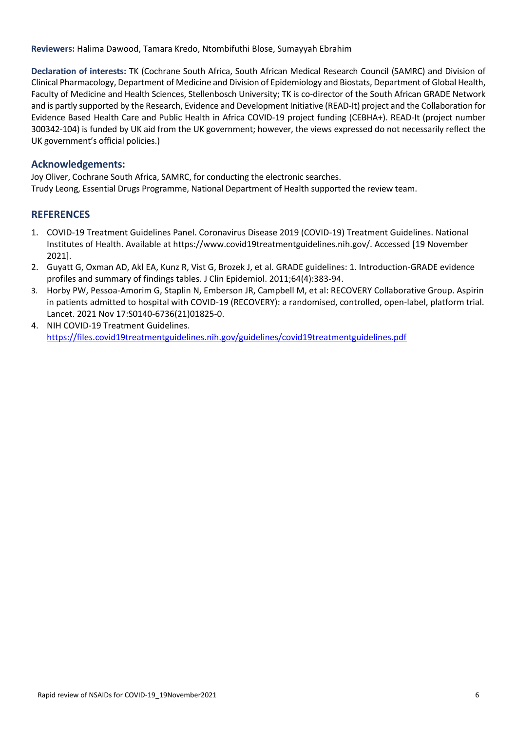**Reviewers:** Halima Dawood, Tamara Kredo, Ntombifuthi Blose, Sumayyah Ebrahim

**Declaration of interests:** TK (Cochrane South Africa, South African Medical Research Council (SAMRC) and Division of Clinical Pharmacology, Department of Medicine and Division of Epidemiology and Biostats, Department of Global Health, Faculty of Medicine and Health Sciences, Stellenbosch University; TK is co-director of the South African GRADE Network and is partly supported by the Research, Evidence and Development Initiative (READ-It) project and the Collaboration for Evidence Based Health Care and Public Health in Africa COVID-19 project funding (CEBHA+). READ-It (project number 300342-104) is funded by UK aid from the UK government; however, the views expressed do not necessarily reflect the UK government's official policies.)

## **Acknowledgements:**

Joy Oliver, Cochrane South Africa, SAMRC, for conducting the electronic searches. Trudy Leong, Essential Drugs Programme, National Department of Health supported the review team.

## **REFERENCES**

- 1. COVID-19 Treatment Guidelines Panel. Coronavirus Disease 2019 (COVID-19) Treatment Guidelines. National Institutes of Health. Available at https://www.covid19treatmentguidelines.nih.gov/. Accessed [19 November 2021].
- 2. Guyatt G, Oxman AD, Akl EA, Kunz R, Vist G, Brozek J, et al. GRADE guidelines: 1. Introduction-GRADE evidence profiles and summary of findings tables. J Clin Epidemiol. 2011;64(4):383-94.
- 3. Horby PW, Pessoa-Amorim G, Staplin N, Emberson JR, Campbell M, et al: RECOVERY Collaborative Group. Aspirin in patients admitted to hospital with COVID-19 (RECOVERY): a randomised, controlled, open-label, platform trial. Lancet. 2021 Nov 17:S0140-6736(21)01825-0.
- 4. NIH COVID-19 Treatment Guidelines. <https://files.covid19treatmentguidelines.nih.gov/guidelines/covid19treatmentguidelines.pdf>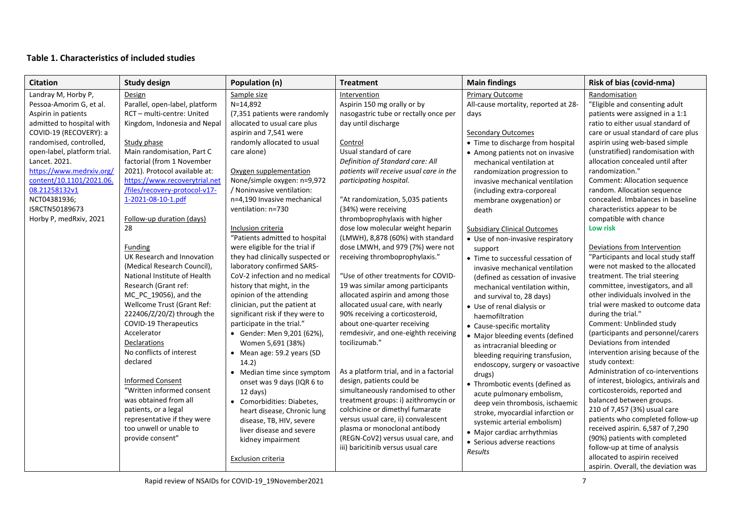## **Table 1. Characteristics of included studies**

| <b>Citation</b>                                                                                                                                                                                                                                                                                                                              | <b>Study design</b>                                                                                                                                                                                                                                                                                                                                                                                                                                                                                                                                                                                                                                                                                                                                             | Population (n)                                                                                                                                                                                                                                                                                                                                                                                                                                                                                                                                                                                                                                                                                                                                                                                                                                                           | <b>Treatment</b>                                                                                                                                                                                                                                                                                                                                                                                                                                                                                                                                                                                                                                                                                                                                                                                                                                                                                                                                 | <b>Main findings</b>                                                                                                                                                                                                                                                                                                                                                                                                                                                                                                                                                                                                                                                                                                                                                                                                                                                                                                  | Risk of bias (covid-nma)                                                                                                                                                                                                                                                                                                                                                                                                                                                                                                                                                                                                                                                                                                                                                                                                                                                                                                                                                                                                                                    |
|----------------------------------------------------------------------------------------------------------------------------------------------------------------------------------------------------------------------------------------------------------------------------------------------------------------------------------------------|-----------------------------------------------------------------------------------------------------------------------------------------------------------------------------------------------------------------------------------------------------------------------------------------------------------------------------------------------------------------------------------------------------------------------------------------------------------------------------------------------------------------------------------------------------------------------------------------------------------------------------------------------------------------------------------------------------------------------------------------------------------------|--------------------------------------------------------------------------------------------------------------------------------------------------------------------------------------------------------------------------------------------------------------------------------------------------------------------------------------------------------------------------------------------------------------------------------------------------------------------------------------------------------------------------------------------------------------------------------------------------------------------------------------------------------------------------------------------------------------------------------------------------------------------------------------------------------------------------------------------------------------------------|--------------------------------------------------------------------------------------------------------------------------------------------------------------------------------------------------------------------------------------------------------------------------------------------------------------------------------------------------------------------------------------------------------------------------------------------------------------------------------------------------------------------------------------------------------------------------------------------------------------------------------------------------------------------------------------------------------------------------------------------------------------------------------------------------------------------------------------------------------------------------------------------------------------------------------------------------|-----------------------------------------------------------------------------------------------------------------------------------------------------------------------------------------------------------------------------------------------------------------------------------------------------------------------------------------------------------------------------------------------------------------------------------------------------------------------------------------------------------------------------------------------------------------------------------------------------------------------------------------------------------------------------------------------------------------------------------------------------------------------------------------------------------------------------------------------------------------------------------------------------------------------|-------------------------------------------------------------------------------------------------------------------------------------------------------------------------------------------------------------------------------------------------------------------------------------------------------------------------------------------------------------------------------------------------------------------------------------------------------------------------------------------------------------------------------------------------------------------------------------------------------------------------------------------------------------------------------------------------------------------------------------------------------------------------------------------------------------------------------------------------------------------------------------------------------------------------------------------------------------------------------------------------------------------------------------------------------------|
| Landray M, Horby P,<br>Pessoa-Amorim G, et al.<br>Aspirin in patients<br>admitted to hospital with<br>COVID-19 (RECOVERY): a<br>randomised, controlled,<br>open-label, platform trial.<br>Lancet. 2021.<br>https://www.medrxiv.org/<br>content/10.1101/2021.06.<br>08.21258132v1<br>NCT04381936;<br>ISRCTN50189673<br>Horby P, medRxiv, 2021 | Design<br>Parallel, open-label, platform<br>RCT-multi-centre: United<br>Kingdom, Indonesia and Nepal<br>Study phase<br>Main randomisation, Part C<br>factorial (from 1 November<br>2021). Protocol available at:<br>https://www.recoverytrial.net<br>/files/recovery-protocol-v17-<br>1-2021-08-10-1.pdf<br>Follow-up duration (days)<br>28<br><b>Funding</b><br>UK Research and Innovation<br>(Medical Research Council),<br>National Institute of Health<br>Research (Grant ref:<br>MC PC 19056), and the<br>Wellcome Trust (Grant Ref:<br>222406/Z/20/Z) through the<br><b>COVID-19 Therapeutics</b><br>Accelerator<br>Declarations<br>No conflicts of interest<br>declared<br><b>Informed Consent</b><br>"Written informed consent<br>was obtained from all | Sample size<br>N=14,892<br>(7,351 patients were randomly<br>allocated to usual care plus<br>aspirin and 7,541 were<br>randomly allocated to usual<br>care alone)<br>Oxygen supplementation<br>None/simple oxygen: n=9,972<br>/ Noninvasive ventilation:<br>n=4,190 Invasive mechanical<br>ventilation: n=730<br>Inclusion criteria<br>"Patients admitted to hospital<br>were eligible for the trial if<br>they had clinically suspected or<br>laboratory confirmed SARS-<br>CoV-2 infection and no medical<br>history that might, in the<br>opinion of the attending<br>clinician, put the patient at<br>significant risk if they were to<br>participate in the trial."<br>• Gender: Men 9,201 (62%),<br>Women 5,691 (38%)<br>• Mean age: 59.2 years (SD<br>14.2)<br>• Median time since symptom<br>onset was 9 days (IQR 6 to<br>12 days)<br>• Comorbidities: Diabetes, | Intervention<br>Aspirin 150 mg orally or by<br>nasogastric tube or rectally once per<br>day until discharge<br>Control<br>Usual standard of care<br>Definition of Standard care: All<br>patients will receive usual care in the<br>participating hospital.<br>"At randomization, 5,035 patients<br>(34%) were receiving<br>thromboprophylaxis with higher<br>dose low molecular weight heparin<br>(LMWH), 8,878 (60%) with standard<br>dose LMWH, and 979 (7%) were not<br>receiving thromboprophylaxis."<br>"Use of other treatments for COVID-<br>19 was similar among participants<br>allocated aspirin and among those<br>allocated usual care, with nearly<br>90% receiving a corticosteroid,<br>about one-quarter receiving<br>remdesivir, and one-eighth receiving<br>tocilizumab."<br>As a platform trial, and in a factorial<br>design, patients could be<br>simultaneously randomised to other<br>treatment groups: i) azithromycin or | <b>Primary Outcome</b><br>All-cause mortality, reported at 28-<br>days<br><b>Secondary Outcomes</b><br>• Time to discharge from hospital<br>• Among patients not on invasive<br>mechanical ventilation at<br>randomization progression to<br>invasive mechanical ventilation<br>(including extra-corporeal<br>membrane oxygenation) or<br>death<br><b>Subsidiary Clinical Outcomes</b><br>• Use of non-invasive respiratory<br>support<br>• Time to successful cessation of<br>invasive mechanical ventilation<br>(defined as cessation of invasive<br>mechanical ventilation within,<br>and survival to, 28 days)<br>• Use of renal dialysis or<br>haemofiltration<br>• Cause-specific mortality<br>• Major bleeding events (defined<br>as intracranial bleeding or<br>bleeding requiring transfusion,<br>endoscopy, surgery or vasoactive<br>drugs)<br>• Thrombotic events (defined as<br>acute pulmonary embolism, | Randomisation<br>"Eligible and consenting adult<br>patients were assigned in a 1:1<br>ratio to either usual standard of<br>care or usual standard of care plus<br>aspirin using web-based simple<br>(unstratified) randomisation with<br>allocation concealed until after<br>randomization."<br>Comment: Allocation sequence<br>random. Allocation sequence<br>concealed. Imbalances in baseline<br>characteristics appear to be<br>compatible with chance<br>Low risk<br>Deviations from Intervention<br>"Participants and local study staff<br>were not masked to the allocated<br>treatment. The trial steering<br>committee, investigators, and all<br>other individuals involved in the<br>trial were masked to outcome data<br>during the trial."<br>Comment: Unblinded study<br>(participants and personnel/carers<br>Deviations from intended<br>intervention arising because of the<br>study context:<br>Administration of co-interventions<br>of interest, biologics, antivirals and<br>corticosteroids, reported and<br>balanced between groups. |
|                                                                                                                                                                                                                                                                                                                                              | patients, or a legal                                                                                                                                                                                                                                                                                                                                                                                                                                                                                                                                                                                                                                                                                                                                            | heart disease, Chronic lung                                                                                                                                                                                                                                                                                                                                                                                                                                                                                                                                                                                                                                                                                                                                                                                                                                              | colchicine or dimethyl fumarate                                                                                                                                                                                                                                                                                                                                                                                                                                                                                                                                                                                                                                                                                                                                                                                                                                                                                                                  | deep vein thrombosis, ischaemic<br>stroke, myocardial infarction or                                                                                                                                                                                                                                                                                                                                                                                                                                                                                                                                                                                                                                                                                                                                                                                                                                                   | 210 of 7,457 (3%) usual care                                                                                                                                                                                                                                                                                                                                                                                                                                                                                                                                                                                                                                                                                                                                                                                                                                                                                                                                                                                                                                |
|                                                                                                                                                                                                                                                                                                                                              | representative if they were<br>too unwell or unable to<br>provide consent"                                                                                                                                                                                                                                                                                                                                                                                                                                                                                                                                                                                                                                                                                      | disease, TB, HIV, severe<br>liver disease and severe<br>kidney impairment<br>Exclusion criteria                                                                                                                                                                                                                                                                                                                                                                                                                                                                                                                                                                                                                                                                                                                                                                          | versus usual care, ii) convalescent<br>plasma or monoclonal antibody<br>(REGN-CoV2) versus usual care, and<br>iii) baricitinib versus usual care                                                                                                                                                                                                                                                                                                                                                                                                                                                                                                                                                                                                                                                                                                                                                                                                 | systemic arterial embolism)<br>• Major cardiac arrhythmias<br>• Serious adverse reactions<br>Results                                                                                                                                                                                                                                                                                                                                                                                                                                                                                                                                                                                                                                                                                                                                                                                                                  | patients who completed follow-up<br>received aspirin. 6,587 of 7,290<br>(90%) patients with completed<br>follow-up at time of analysis<br>allocated to aspirin received<br>aspirin. Overall, the deviation was                                                                                                                                                                                                                                                                                                                                                                                                                                                                                                                                                                                                                                                                                                                                                                                                                                              |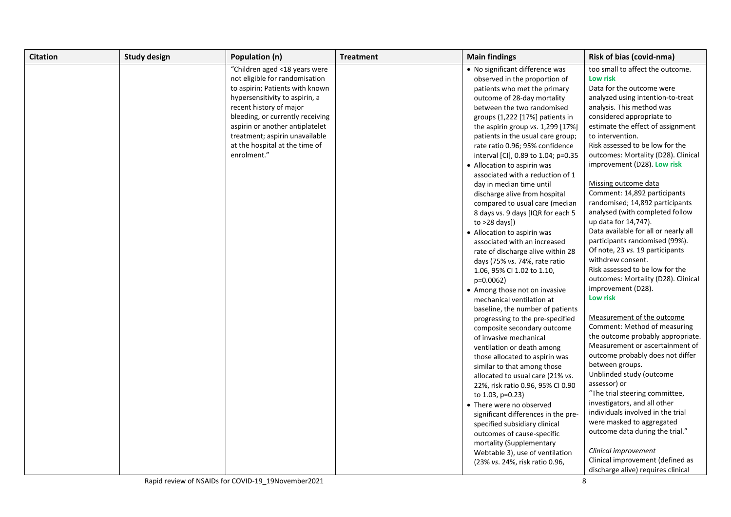| <b>Citation</b> | <b>Study design</b> | Population (n)                   | <b>Treatment</b> | <b>Main findings</b>                | Risk of bias (covid-nma)                                               |
|-----------------|---------------------|----------------------------------|------------------|-------------------------------------|------------------------------------------------------------------------|
|                 |                     | "Children aged <18 years were    |                  | • No significant difference was     | too small to affect the outcome.                                       |
|                 |                     | not eligible for randomisation   |                  | observed in the proportion of       | Low risk                                                               |
|                 |                     | to aspirin; Patients with known  |                  | patients who met the primary        | Data for the outcome were                                              |
|                 |                     | hypersensitivity to aspirin, a   |                  | outcome of 28-day mortality         | analyzed using intention-to-treat                                      |
|                 |                     | recent history of major          |                  | between the two randomised          | analysis. This method was                                              |
|                 |                     | bleeding, or currently receiving |                  | groups (1,222 [17%] patients in     | considered appropriate to                                              |
|                 |                     | aspirin or another antiplatelet  |                  | the aspirin group vs. 1,299 [17%]   | estimate the effect of assignment                                      |
|                 |                     | treatment; aspirin unavailable   |                  | patients in the usual care group;   | to intervention.                                                       |
|                 |                     | at the hospital at the time of   |                  | rate ratio 0.96; 95% confidence     | Risk assessed to be low for the                                        |
|                 |                     | enrolment."                      |                  | interval [CI], 0.89 to 1.04; p=0.35 | outcomes: Mortality (D28). Clinical                                    |
|                 |                     |                                  |                  | • Allocation to aspirin was         | improvement (D28). Low risk                                            |
|                 |                     |                                  |                  | associated with a reduction of 1    |                                                                        |
|                 |                     |                                  |                  | day in median time until            | Missing outcome data                                                   |
|                 |                     |                                  |                  | discharge alive from hospital       | Comment: 14,892 participants                                           |
|                 |                     |                                  |                  | compared to usual care (median      | randomised; 14,892 participants                                        |
|                 |                     |                                  |                  | 8 days vs. 9 days [IQR for each 5   | analysed (with completed follow                                        |
|                 |                     |                                  |                  | to $>28$ days])                     | up data for 14,747).                                                   |
|                 |                     |                                  |                  | • Allocation to aspirin was         | Data available for all or nearly all                                   |
|                 |                     |                                  |                  | associated with an increased        | participants randomised (99%).                                         |
|                 |                     |                                  |                  | rate of discharge alive within 28   | Of note, 23 vs. 19 participants                                        |
|                 |                     |                                  |                  | days (75% vs. 74%, rate ratio       | withdrew consent.                                                      |
|                 |                     |                                  |                  | 1.06, 95% CI 1.02 to 1.10,          | Risk assessed to be low for the                                        |
|                 |                     |                                  |                  | $p=0.0062$                          | outcomes: Mortality (D28). Clinical                                    |
|                 |                     |                                  |                  | • Among those not on invasive       | improvement (D28).                                                     |
|                 |                     |                                  |                  | mechanical ventilation at           | Low risk                                                               |
|                 |                     |                                  |                  | baseline, the number of patients    |                                                                        |
|                 |                     |                                  |                  | progressing to the pre-specified    | Measurement of the outcome                                             |
|                 |                     |                                  |                  | composite secondary outcome         | Comment: Method of measuring                                           |
|                 |                     |                                  |                  | of invasive mechanical              | the outcome probably appropriate.                                      |
|                 |                     |                                  |                  | ventilation or death among          | Measurement or ascertainment of                                        |
|                 |                     |                                  |                  | those allocated to aspirin was      | outcome probably does not differ                                       |
|                 |                     |                                  |                  | similar to that among those         | between groups.                                                        |
|                 |                     |                                  |                  | allocated to usual care (21% vs.    | Unblinded study (outcome                                               |
|                 |                     |                                  |                  | 22%, risk ratio 0.96, 95% CI 0.90   | assessor) or                                                           |
|                 |                     |                                  |                  | to 1.03, p=0.23)                    | "The trial steering committee,                                         |
|                 |                     |                                  |                  | • There were no observed            | investigators, and all other                                           |
|                 |                     |                                  |                  | significant differences in the pre- | individuals involved in the trial                                      |
|                 |                     |                                  |                  | specified subsidiary clinical       | were masked to aggregated                                              |
|                 |                     |                                  |                  | outcomes of cause-specific          | outcome data during the trial."                                        |
|                 |                     |                                  |                  | mortality (Supplementary            |                                                                        |
|                 |                     |                                  |                  | Webtable 3), use of ventilation     | Clinical improvement                                                   |
|                 |                     |                                  |                  | (23% vs. 24%, risk ratio 0.96,      | Clinical improvement (defined as<br>discharge alive) requires clinical |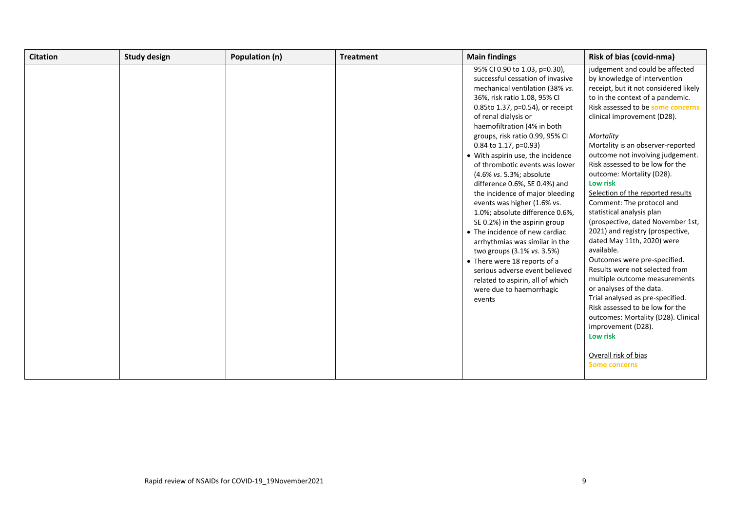| judgement and could be affected<br>95% CI 0.90 to 1.03, p=0.30),<br>successful cessation of invasive<br>by knowledge of intervention<br>mechanical ventilation (38% vs.<br>36%, risk ratio 1.08, 95% CI<br>to in the context of a pandemic.<br>0.85to 1.37, p=0.54), or receipt<br>of renal dialysis or<br>clinical improvement (D28).<br>haemofiltration (4% in both<br>groups, risk ratio 0.99, 95% CI<br>Mortality<br>0.84 to 1.17, p=0.93)<br>Mortality is an observer-reported<br>• With aspirin use, the incidence<br>outcome not involving judgement.<br>Risk assessed to be low for the<br>of thrombotic events was lower<br>outcome: Mortality (D28).<br>(4.6% vs. 5.3%; absolute<br>Low risk<br>difference 0.6%, SE 0.4%) and<br>Selection of the reported results<br>the incidence of major bleeding<br>Comment: The protocol and<br>events was higher (1.6% vs.<br>statistical analysis plan<br>1.0%; absolute difference 0.6%,<br>SE 0.2%) in the aspirin group<br>2021) and registry (prospective,<br>• The incidence of new cardiac<br>dated May 11th, 2020) were<br>arrhythmias was similar in the<br>available.<br>two groups (3.1% vs. 3.5%)<br>Outcomes were pre-specified.<br>• There were 18 reports of a<br>Results were not selected from<br>serious adverse event believed<br>multiple outcome measurements<br>related to aspirin, all of which<br>or analyses of the data.<br>were due to haemorrhagic<br>Trial analysed as pre-specified.<br>events<br>Risk assessed to be low for the<br>improvement (D28).<br>Low risk | Citation | <b>Study design</b> | Population (n) | <b>Treatment</b> | <b>Main findings</b> | <b>Risk of bias (covid-nma)</b>                                                                                                                        |
|----------------------------------------------------------------------------------------------------------------------------------------------------------------------------------------------------------------------------------------------------------------------------------------------------------------------------------------------------------------------------------------------------------------------------------------------------------------------------------------------------------------------------------------------------------------------------------------------------------------------------------------------------------------------------------------------------------------------------------------------------------------------------------------------------------------------------------------------------------------------------------------------------------------------------------------------------------------------------------------------------------------------------------------------------------------------------------------------------------------------------------------------------------------------------------------------------------------------------------------------------------------------------------------------------------------------------------------------------------------------------------------------------------------------------------------------------------------------------------------------------------------------------------------------------|----------|---------------------|----------------|------------------|----------------------|--------------------------------------------------------------------------------------------------------------------------------------------------------|
| Overall risk of bias                                                                                                                                                                                                                                                                                                                                                                                                                                                                                                                                                                                                                                                                                                                                                                                                                                                                                                                                                                                                                                                                                                                                                                                                                                                                                                                                                                                                                                                                                                                               |          |                     |                |                  |                      | receipt, but it not considered likely<br>Risk assessed to be some concerns<br>(prospective, dated November 1st,<br>outcomes: Mortality (D28). Clinical |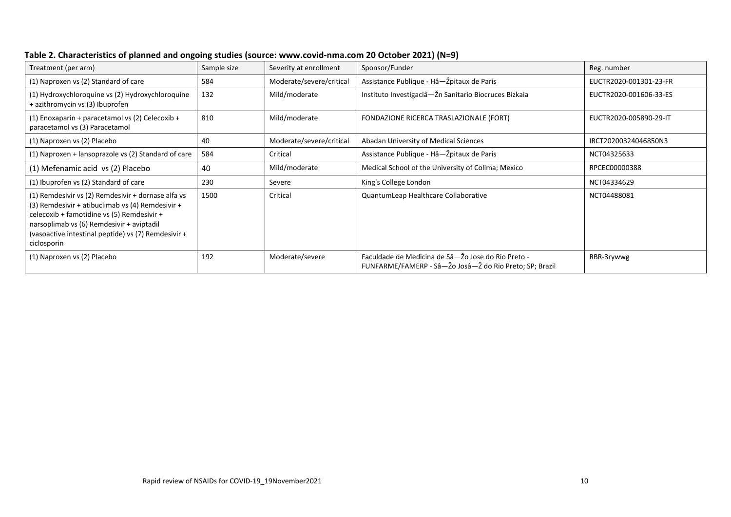| Treatment (per arm)                                                                                                                                                                                                                                                     | Sample size | Severity at enrollment   | Sponsor/Funder                                                                                                | Reg. number            |
|-------------------------------------------------------------------------------------------------------------------------------------------------------------------------------------------------------------------------------------------------------------------------|-------------|--------------------------|---------------------------------------------------------------------------------------------------------------|------------------------|
| (1) Naproxen vs (2) Standard of care                                                                                                                                                                                                                                    | 584         | Moderate/severe/critical | Assistance Publique - Hâ-Žpitaux de Paris                                                                     | EUCTR2020-001301-23-FR |
| (1) Hydroxychloroquine vs (2) Hydroxychloroquine<br>+ azithromycin vs (3) Ibuprofen                                                                                                                                                                                     | 132         | Mild/moderate            | Instituto Investigaciâ-Žn Sanitario Biocruces Bizkaia                                                         | EUCTR2020-001606-33-ES |
| $(1)$ Enoxaparin + paracetamol vs $(2)$ Celecoxib +<br>paracetamol vs (3) Paracetamol                                                                                                                                                                                   | 810         | Mild/moderate            | FONDAZIONE RICERCA TRASLAZIONALE (FORT)                                                                       | EUCTR2020-005890-29-IT |
| (1) Naproxen vs (2) Placebo                                                                                                                                                                                                                                             | 40          | Moderate/severe/critical | Abadan University of Medical Sciences                                                                         | IRCT20200324046850N3   |
| (1) Naproxen + lansoprazole vs (2) Standard of care                                                                                                                                                                                                                     | 584         | Critical                 | Assistance Publique - Hâ-Žpitaux de Paris                                                                     | NCT04325633            |
| (1) Mefenamic acid vs (2) Placebo                                                                                                                                                                                                                                       | 40          | Mild/moderate            | Medical School of the University of Colima; Mexico                                                            | RPCEC00000388          |
| (1) Ibuprofen vs (2) Standard of care                                                                                                                                                                                                                                   | 230         | Severe                   | King's College London                                                                                         | NCT04334629            |
| (1) Remdesivir vs (2) Remdesivir + dornase alfa vs<br>(3) Remdesivir + atibuclimab vs (4) Remdesivir +<br>celecoxib + famotidine vs (5) Remdesivir +<br>narsoplimab vs (6) Remdesivir + aviptadil<br>(vasoactive intestinal peptide) vs (7) Remdesivir +<br>ciclosporin | 1500        | Critical                 | QuantumLeap Healthcare Collaborative                                                                          | NCT04488081            |
| (1) Naproxen vs (2) Placebo                                                                                                                                                                                                                                             | 192         | Moderate/severe          | Faculdade de Medicina de Sâ-Žo Jose do Rio Preto -<br>FUNFARME/FAMERP - Sâ-Žo Josâ-Ž do Rio Preto; SP; Brazil | RBR-3rywwg             |

**Table 2. Characteristics of planned and ongoing studies (source: www.covid-nma.com 20 October 2021) (N=9)**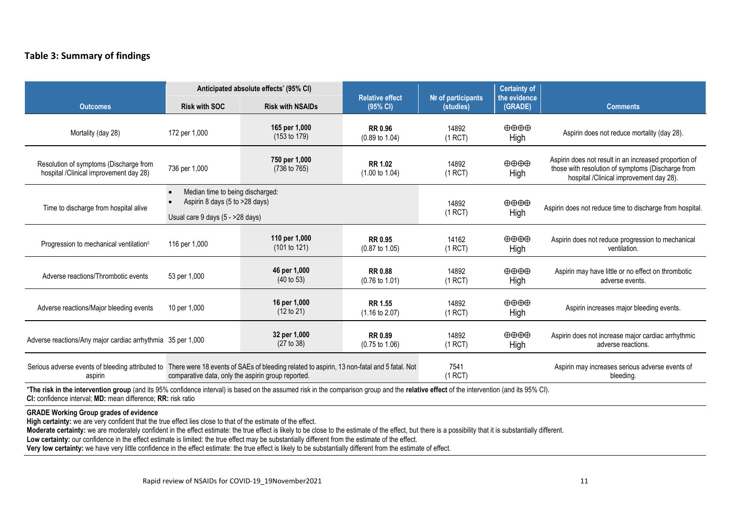## **Table 3: Summary of findings**

| Anticipated absolute effects' (95% CI)                                                                                                                                                                                                                   |                                                                                                        |                                          | <b>Relative effect</b>                      |                                 | <b>Certainty of</b>                   |                                                                                                                                                       |  |
|----------------------------------------------------------------------------------------------------------------------------------------------------------------------------------------------------------------------------------------------------------|--------------------------------------------------------------------------------------------------------|------------------------------------------|---------------------------------------------|---------------------------------|---------------------------------------|-------------------------------------------------------------------------------------------------------------------------------------------------------|--|
| <b>Outcomes</b>                                                                                                                                                                                                                                          | <b>Risk with SOC</b>                                                                                   | <b>Risk with NSAIDs</b>                  | (95% CI)                                    | Nº of participants<br>(studies) | the evidence<br>(GRADE)               | <b>Comments</b>                                                                                                                                       |  |
| Mortality (day 28)                                                                                                                                                                                                                                       | 172 per 1,000                                                                                          | 165 per 1,000<br>$(153 \text{ to } 179)$ | <b>RR 0.96</b><br>$(0.89 \text{ to } 1.04)$ | 14892<br>(1 RCT)                | $\oplus \oplus \oplus$<br>High        | Aspirin does not reduce mortality (day 28).                                                                                                           |  |
| Resolution of symptoms (Discharge from<br>hospital /Clinical improvement day 28)                                                                                                                                                                         | 736 per 1,000                                                                                          | 750 per 1,000<br>(736 to 765)            | <b>RR 1.02</b><br>$(1.00 \text{ to } 1.04)$ | 14892<br>(1 RCT)                | $\oplus \oplus \oplus$<br>High        | Aspirin does not result in an increased proportion of<br>those with resolution of symptoms (Discharge from<br>hospital /Clinical improvement day 28). |  |
| Time to discharge from hospital alive                                                                                                                                                                                                                    | Median time to being discharged:<br>Aspirin 8 days (5 to >28 days)<br>Usual care 9 days (5 - >28 days) |                                          |                                             | 14892<br>(1 RCT)                | $\oplus \oplus \oplus$<br>High        | Aspirin does not reduce time to discharge from hospital.                                                                                              |  |
| Progression to mechanical ventilation <sup>c</sup>                                                                                                                                                                                                       | 116 per 1,000                                                                                          | 110 per 1,000<br>(101 to 121)            | <b>RR 0.95</b><br>$(0.87 \text{ to } 1.05)$ | 14162<br>(1 RCT)                | $\oplus \oplus \oplus \oplus$<br>High | Aspirin does not reduce progression to mechanical<br>ventilation.                                                                                     |  |
| Adverse reactions/Thrombotic events                                                                                                                                                                                                                      | 53 per 1,000                                                                                           | 46 per 1,000<br>$(40 \text{ to } 53)$    | <b>RR 0.88</b><br>$(0.76 \text{ to } 1.01)$ | 14892<br>(1 RCT)                | $\oplus \oplus \oplus$<br>High        | Aspirin may have little or no effect on thrombotic<br>adverse events.                                                                                 |  |
| Adverse reactions/Major bleeding events                                                                                                                                                                                                                  | 10 per 1,000                                                                                           | 16 per 1,000<br>(12 to 21)               | <b>RR 1.55</b><br>$(1.16 \text{ to } 2.07)$ | 14892<br>(1 RCT)                | $\oplus \oplus \oplus$<br>High        | Aspirin increases major bleeding events.                                                                                                              |  |
| Adverse reactions/Any major cardiac arrhythmia 35 per 1,000                                                                                                                                                                                              |                                                                                                        | 32 per 1,000<br>(27 to 38)               | <b>RR 0.89</b><br>$(0.75 \text{ to } 1.06)$ | 14892<br>(1 RCT)                | $\oplus \oplus \oplus$<br>High        | Aspirin does not increase major cardiac arrhythmic<br>adverse reactions.                                                                              |  |
| Serious adverse events of bleeding attributed to There were 18 events of SAEs of bleeding related to aspirin, 13 non-fatal and 5 fatal. Not<br>aspirin                                                                                                   | comparative data, only the aspirin group reported.                                                     |                                          |                                             | 7541<br>(1 RCT)                 |                                       | Aspirin may increases serious adverse events of<br>bleeding.                                                                                          |  |
| *The risk in the intervention group (and its 95% confidence interval) is based on the assumed risk in the comparison group and the relative effect of the intervention (and its 95% CI).<br>CI: confidence interval: MD: mean difference: RR: risk ratio |                                                                                                        |                                          |                                             |                                 |                                       |                                                                                                                                                       |  |

#### **GRADE Working Group grades of evidence**

**High certainty:** we are very confident that the true effect lies close to that of the estimate of the effect.

Moderate certainty: we are moderately confident in the effect estimate: the true effect is likely to be close to the estimate of the effect, but there is a possibility that it is substantially different.

Low certainty: our confidence in the effect estimate is limited: the true effect may be substantially different from the estimate of the effect.

**Very low certainty:** we have very little confidence in the effect estimate: the true effect is likely to be substantially different from the estimate of effect.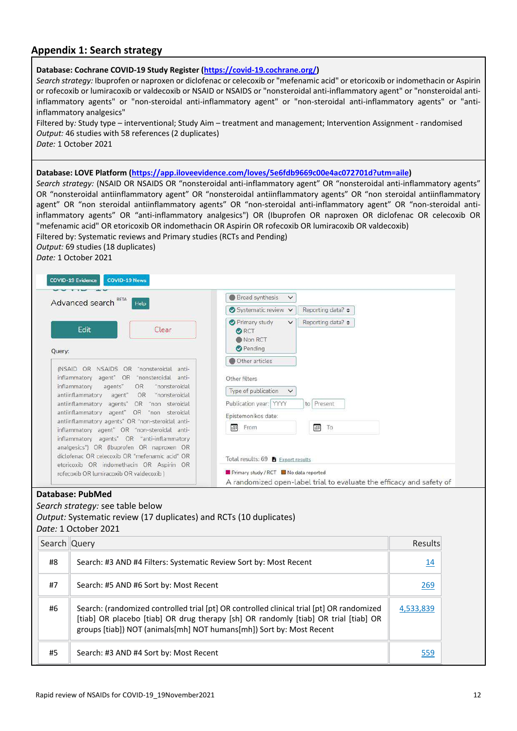## **Appendix 1: Search strategy**

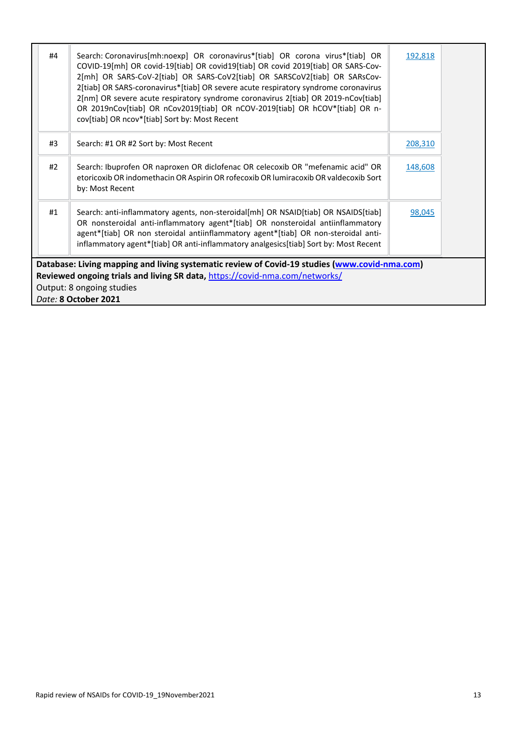| #4 | Search: Coronavirus[mh:noexp] OR coronavirus*[tiab] OR corona virus*[tiab] OR<br>COVID-19[mh] OR covid-19[tiab] OR covid19[tiab] OR covid 2019[tiab] OR SARS-Cov-<br>2[mh] OR SARS-CoV-2[tiab] OR SARS-CoV2[tiab] OR SARSCoV2[tiab] OR SARsCov-<br>2[tiab] OR SARS-coronavirus*[tiab] OR severe acute respiratory syndrome coronavirus<br>2[nm] OR severe acute respiratory syndrome coronavirus 2[tiab] OR 2019-nCov[tiab]<br>OR 2019nCov[tiab] OR nCov2019[tiab] OR nCOV-2019[tiab] OR hCOV*[tiab] OR n-<br>cov[tiab] OR ncov*[tiab] Sort by: Most Recent | 192,818 |  |
|----|-------------------------------------------------------------------------------------------------------------------------------------------------------------------------------------------------------------------------------------------------------------------------------------------------------------------------------------------------------------------------------------------------------------------------------------------------------------------------------------------------------------------------------------------------------------|---------|--|
| #3 | Search: #1 OR #2 Sort by: Most Recent                                                                                                                                                                                                                                                                                                                                                                                                                                                                                                                       | 208,310 |  |
| #2 | Search: Ibuprofen OR naproxen OR diclofenac OR celecoxib OR "mefenamic acid" OR<br>etoricoxib OR indomethacin OR Aspirin OR rofecoxib OR lumiracoxib OR valdecoxib Sort<br>by: Most Recent                                                                                                                                                                                                                                                                                                                                                                  | 148,608 |  |
| #1 | Search: anti-inflammatory agents, non-steroidal[mh] OR NSAID[tiab] OR NSAIDS[tiab]<br>OR nonsteroidal anti-inflammatory agent*[tiab] OR nonsteroidal antiinflammatory<br>agent*[tiab] OR non steroidal antiinflammatory agent*[tiab] OR non-steroidal anti-<br>inflammatory agent*[tiab] OR anti-inflammatory analgesics[tiab] Sort by: Most Recent                                                                                                                                                                                                         | 98,045  |  |
|    | Database: Living mapping and living systematic review of Covid-19 studies (www.covid-nma.com)                                                                                                                                                                                                                                                                                                                                                                                                                                                               |         |  |
|    | Reviewed ongoing trials and living SR data, https://covid-nma.com/networks/                                                                                                                                                                                                                                                                                                                                                                                                                                                                                 |         |  |
|    | Output: 8 ongoing studies                                                                                                                                                                                                                                                                                                                                                                                                                                                                                                                                   |         |  |
|    | Date: 8 October 2021                                                                                                                                                                                                                                                                                                                                                                                                                                                                                                                                        |         |  |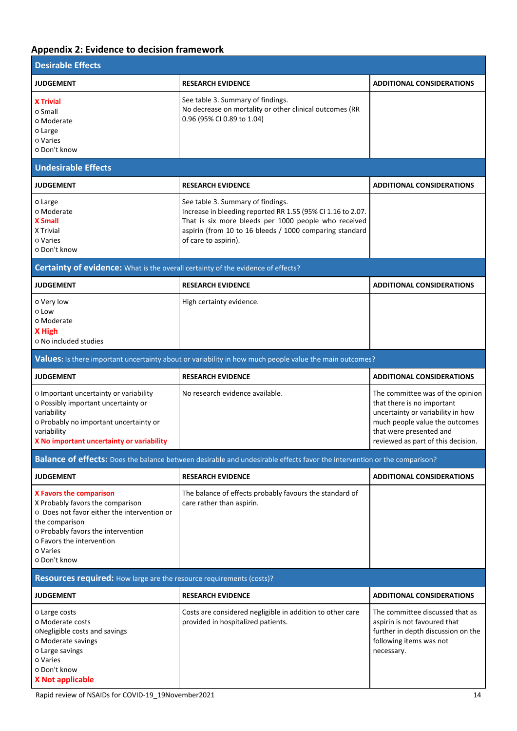# **Appendix 2: Evidence to decision framework**

| <b>Desirable Effects</b>                                                                                                                                                                                                           |                                                                                                                                                                                                                                             |                                                                                                                                                                                                        |
|------------------------------------------------------------------------------------------------------------------------------------------------------------------------------------------------------------------------------------|---------------------------------------------------------------------------------------------------------------------------------------------------------------------------------------------------------------------------------------------|--------------------------------------------------------------------------------------------------------------------------------------------------------------------------------------------------------|
| <b>JUDGEMENT</b>                                                                                                                                                                                                                   | <b>RESEARCH EVIDENCE</b>                                                                                                                                                                                                                    | <b>ADDITIONAL CONSIDERATIONS</b>                                                                                                                                                                       |
| <b>X</b> Trivial<br>o Small<br>o Moderate<br>o Large<br>o Varies<br>o Don't know                                                                                                                                                   | See table 3. Summary of findings.<br>No decrease on mortality or other clinical outcomes (RR<br>0.96 (95% CI 0.89 to 1.04)                                                                                                                  |                                                                                                                                                                                                        |
| <b>Undesirable Effects</b>                                                                                                                                                                                                         |                                                                                                                                                                                                                                             |                                                                                                                                                                                                        |
| <b>JUDGEMENT</b>                                                                                                                                                                                                                   | <b>RESEARCH EVIDENCE</b>                                                                                                                                                                                                                    | <b>ADDITIONAL CONSIDERATIONS</b>                                                                                                                                                                       |
| o Large<br>o Moderate<br><b>X</b> Small<br>X Trivial<br>o Varies<br>o Don't know                                                                                                                                                   | See table 3. Summary of findings.<br>Increase in bleeding reported RR 1.55 (95% CI 1.16 to 2.07.<br>That is six more bleeds per 1000 people who received<br>aspirin (from 10 to 16 bleeds / 1000 comparing standard<br>of care to aspirin). |                                                                                                                                                                                                        |
| Certainty of evidence: What is the overall certainty of the evidence of effects?                                                                                                                                                   |                                                                                                                                                                                                                                             |                                                                                                                                                                                                        |
| <b>JUDGEMENT</b>                                                                                                                                                                                                                   | <b>RESEARCH EVIDENCE</b>                                                                                                                                                                                                                    | <b>ADDITIONAL CONSIDERATIONS</b>                                                                                                                                                                       |
| o Very low<br>o Low<br>o Moderate<br>X High<br>o No included studies                                                                                                                                                               | High certainty evidence.                                                                                                                                                                                                                    |                                                                                                                                                                                                        |
|                                                                                                                                                                                                                                    | Values: Is there important uncertainty about or variability in how much people value the main outcomes?                                                                                                                                     |                                                                                                                                                                                                        |
| <b>JUDGEMENT</b>                                                                                                                                                                                                                   | <b>RESEARCH EVIDENCE</b>                                                                                                                                                                                                                    | <b>ADDITIONAL CONSIDERATIONS</b>                                                                                                                                                                       |
| O Important uncertainty or variability<br>o Possibly important uncertainty or<br>variability<br>o Probably no important uncertainty or<br>variability<br>X No important uncertainty or variability                                 | No research evidence available.                                                                                                                                                                                                             | The committee was of the opinion<br>that there is no important<br>uncertainty or variability in how<br>much people value the outcomes<br>that were presented and<br>reviewed as part of this decision. |
|                                                                                                                                                                                                                                    | Balance of effects: Does the balance between desirable and undesirable effects favor the intervention or the comparison?                                                                                                                    |                                                                                                                                                                                                        |
| <b>JUDGEMENT</b>                                                                                                                                                                                                                   | <b>RESEARCH EVIDENCE</b>                                                                                                                                                                                                                    | <b>ADDITIONAL CONSIDERATIONS</b>                                                                                                                                                                       |
| <b>X Favors the comparison</b><br>X Probably favors the comparison<br>O Does not favor either the intervention or<br>the comparison<br>o Probably favors the intervention<br>o Favors the intervention<br>o Varies<br>o Don't know | The balance of effects probably favours the standard of<br>care rather than aspirin.                                                                                                                                                        |                                                                                                                                                                                                        |
| Resources required: How large are the resource requirements (costs)?                                                                                                                                                               |                                                                                                                                                                                                                                             |                                                                                                                                                                                                        |
| <b>JUDGEMENT</b>                                                                                                                                                                                                                   | <b>RESEARCH EVIDENCE</b>                                                                                                                                                                                                                    | <b>ADDITIONAL CONSIDERATIONS</b>                                                                                                                                                                       |
| o Large costs<br>o Moderate costs<br>oNegligible costs and savings<br>o Moderate savings<br>o Large savings<br>o Varies<br>o Don't know<br><b>X Not applicable</b>                                                                 | Costs are considered negligible in addition to other care<br>provided in hospitalized patients.                                                                                                                                             | The committee discussed that as<br>aspirin is not favoured that<br>further in depth discussion on the<br>following items was not<br>necessary.                                                         |